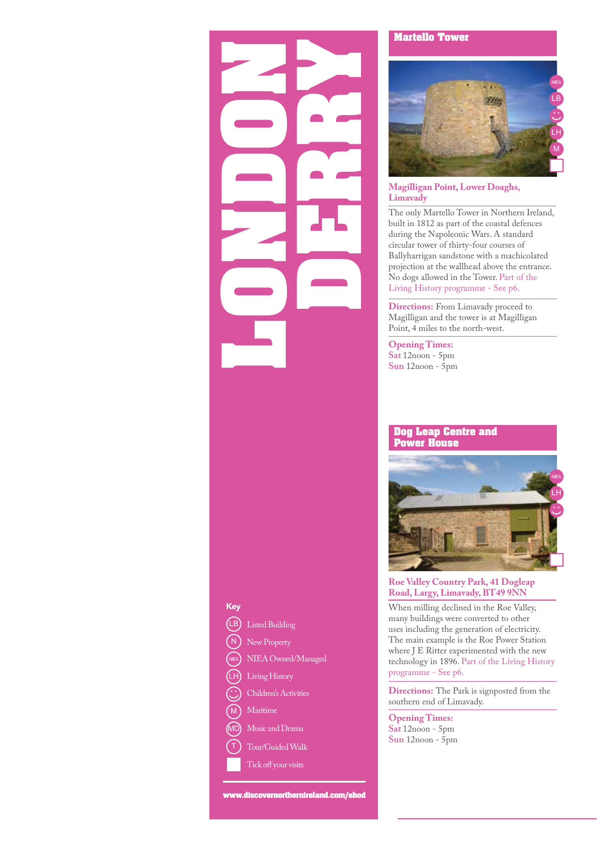# **Key**<br> **CD** Listed Buildi<br>
(N) New Propert<br>
(N) NIEA Owne<br>
(H) Living Histo<br>
(M) Maritime<br>
(T) Tour/Guided **DERRY**

#### New Property Living History Children's Activities Maritime Music and Drama Tour/Guided Walk Tick off your visits N M MD Listed Building Key  $(LB)$ NIEA Owned/Managed LH

**www.discovernorthernireland.com/ehod**

#### **Martello Tower**



#### **Magilligan Point, Lower Doaghs, Limavady**

The only Martello Tower in Northern Ireland, built in 1812 as part of the coastal defences during the Napoleonic Wars. A standard circular tower of thirty-four courses of Ballyharrigan sandstone with a machicolated projection at the wallhead above the entrance. No dogs allowed in the Tower. Part of the Living History programme - See p6.

**Directions:** From Limavady proceed to Magilligan and the tower is at Magilligan Point, 4 miles to the north-west.

**Opening Times: Sat** 12noon - 5pm **Sun** 12noon - 5pm

#### **Dog Leap Centre and Power House**



#### **Roe Valley Country Park, 41 Dogleap Road, Largy, Limavady, BT49 9NN**

When milling declined in the Roe Valley, many buildings were converted to other uses including the generation of electricity. The main example is the Roe Power Station where J E Ritter experimented with the new technology in 1896. Part of the Living History programme - See p6.

**Directions:** The Park is signposted from the southern end of Limavady.

**Opening Times: Sat** 12noon - 5pm **Sun** 12noon - 5pm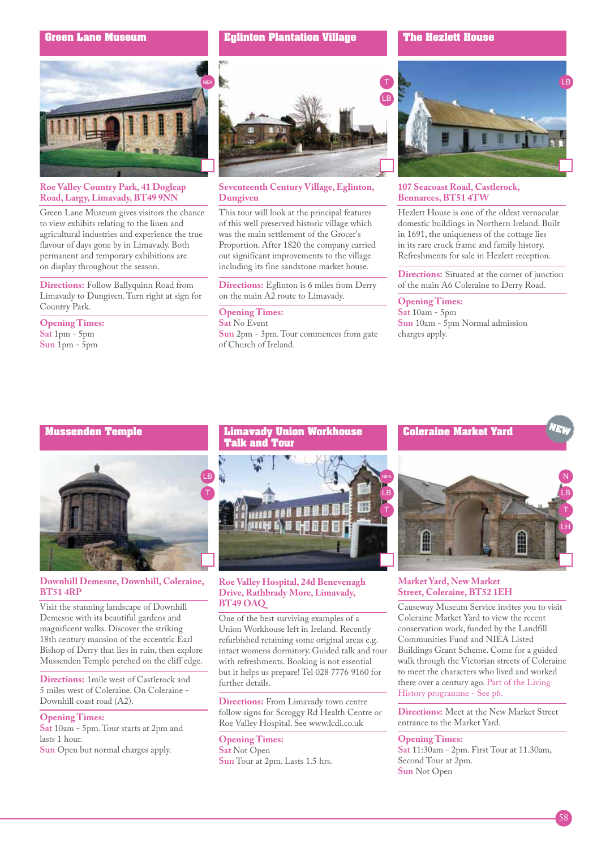#### **Green Lane Museum**



#### **Roe Valley Country Park, 41 Dogleap Road, Largy, Limavady, BT49 9NN**

Green Lane Museum gives visitors the chance to view exhibits relating to the linen and agricultural industries and experience the true flavour of days gone by in Limavady. Both permanent and temporary exhibitions are on display throughout the season.

**Directions:** Follow Ballyquinn Road from Limavady to Dungiven. Turn right at sign for Country Park.

**Opening Times: Sat** 1pm - 5pm **Sun** 1pm - 5pm

#### **Eglinton Plantation Village**

## LB

#### **Seventeenth Century Village, Eglinton, Dungiven**

This tour will look at the principal features of this well preserved historic village which was the main settlement of the Grocer's Proportion. After 1820 the company carried out significant improvements to the village including its fine sandstone market house.

**Directions:** Eglinton is 6 miles from Derry on the main A2 route to Limavady.

#### **Opening Times:**

**Sat** No Event **Sun** 2pm - 3pm. Tour commences from gate of Church of Ireland.

#### **The Hezlett House**



#### **107 Seacoast Road, Castlerock, Bennarees, BT51 4TW**

Hezlett House is one of the oldest vernacular domestic buildings in Northern Ireland. Built in 1691, the uniqueness of the cottage lies in its rare cruck frame and family history. Refreshments for sale in Hezlett reception.

**Directions:** Situated at the corner of junction of the main A6 Coleraine to Derry Road.

#### **Opening Times:**

**Sat** 10am - 5pm **Sun** 10am - 5pm Normal admission charges apply.

#### **Mussenden Temple**



#### **Downhill Demesne, Downhill, Coleraine, BT51 4RP**

Visit the stunning landscape of Downhill Demesne with its beautiful gardens and magnificent walks. Discover the striking 18th century mansion of the eccentric Earl Bishop of Derry that lies in ruin, then explore Mussenden Temple perched on the cliff edge.

**Directions:** 1mile west of Castlerock and 5 miles west of Coleraine. On Coleraine - Downhill coast road (A2).

#### **Opening Times:**

**Sat** 10am - 5pm. Tour starts at 2pm and lasts 1 hour.

**Sun** Open but normal charges apply.



#### **Roe Valley Hospital, 24d Benevenagh Drive, Rathbrady More, Limavady, BT49 OAQ**

One of the best surviving examples of a Union Workhouse left in Ireland. Recently refurbished retaining some original areas e.g. intact womens dormitory. Guided talk and tour with refreshments. Booking is not essential but it helps us prepare! Tel 028 7776 9160 for further details.

**Directions:** From Limavady town centre follow signs for Scroggy Rd Health Centre or Roe Valley Hospital. See www.lcdi.co.uk

**Opening Times: Sat** Not Open **Sun** Tour at 2pm. Lasts 1.5 hrs.





#### **Market Yard, New Market Street, Coleraine, BT52 1EH**

Causeway Museum Service invites you to visit Coleraine Market Yard to view the recent conservation work, funded by the Landfill Communities Fund and NIEA Listed Buildings Grant Scheme. Come for a guided walk through the Victorian streets of Coleraine to meet the characters who lived and worked there over a century ago. Part of the Living History programme - See p6.

**Directions:** Meet at the New Market Street entrance to the Market Yard.

#### **Opening Times:**

**Sat** 11:30am - 2pm. First Tour at 11.30am, Second Tour at 2pm. **Sun** Not Open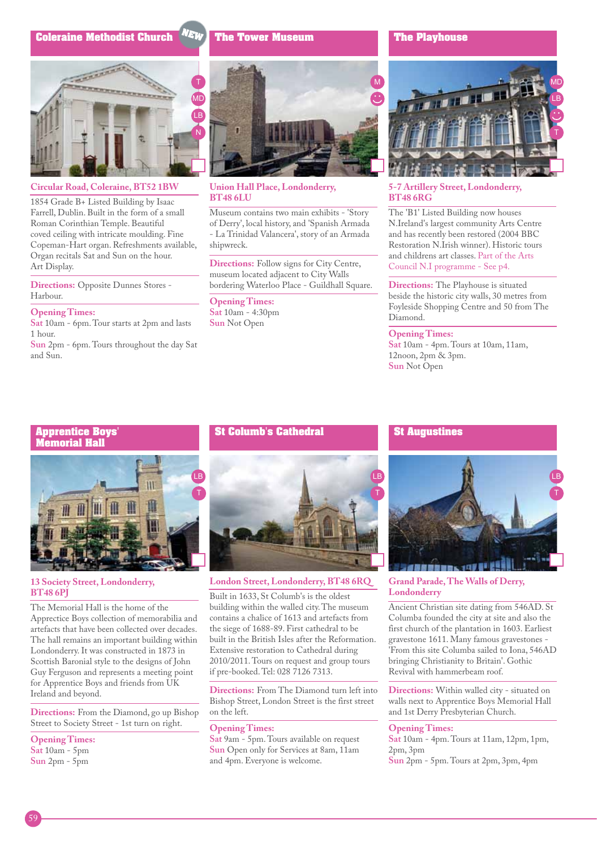#### **Coleraine Methodist Church**

### MD LB N

 **Circular Road, Coleraine, BT52 1BW**

1854 Grade B+ Listed Building by Isaac Farrell, Dublin. Built in the form of a small Roman Corinthian Temple. Beautiful coved ceiling with intricate moulding. Fine Copeman-Hart organ. Refreshments available, Organ recitals Sat and Sun on the hour. Art Display.

**Directions:** Opposite Dunnes Stores - Harbour.

#### **Opening Times:**

**Sat** 10am - 6pm. Tour starts at 2pm and lasts 1 hour.

**Sun** 2pm - 6pm. Tours throughout the day Sat and Sun.



#### **Union Hall Place, Londonderry, BT48 6LU**

**The Tower Museum**

NEW

Museum contains two main exhibits - 'Story of Derry', local history, and 'Spanish Armada - La Trinidad Valancera', story of an Armada shipwreck.

**Directions:** Follow signs for City Centre, museum located adjacent to City Walls bordering Waterloo Place - Guildhall Square.

**Opening Times: Sat** 10am - 4:30pm **Sun** Not Open

#### **The Playhouse**



#### **5-7 Artillery Street, Londonderry, BT48 6RG**

The 'B1' Listed Building now houses N.Ireland's largest community Arts Centre and has recently been restored (2004 BBC Restoration N.Irish winner). Historic tours and childrens art classes. Part of the Arts Council N.I programme - See p4.

**Directions:** The Playhouse is situated beside the historic city walls, 30 metres from Foyleside Shopping Centre and 50 from The Diamond.

#### **Opening Times:**

**Sat** 10am - 4pm. Tours at 10am, 11am, 12noon, 2pm & 3pm. **Sun** Not Open

#### **Apprentice Boys' Memorial Hall**



#### **13 Society Street, Londonderry, BT48 6PJ**

The Memorial Hall is the home of the Apprectice Boys collection of memorabilia and artefacts that have been collected over decades. The hall remains an important building within Londonderry. It was constructed in 1873 in Scottish Baronial style to the designs of John Guy Ferguson and represents a meeting point for Apprentice Boys and friends from UK Ireland and beyond.

**Directions:** From the Diamond, go up Bishop Street to Society Street - 1st turn on right.

#### **Opening Times:**

**Sat** 10am - 5pm **Sun** 2pm - 5pm

#### **St Columb's Cathedral**



**London Street, Londonderry, BT48 6RQ**

Built in 1633, St Columb's is the oldest building within the walled city. The museum contains a chalice of 1613 and artefacts from the siege of 1688-89. First cathedral to be built in the British Isles after the Reformation. Extensive restoration to Cathedral during 2010/2011. Tours on request and group tours if pre-booked. Tel: 028 7126 7313.

**Directions:** From The Diamond turn left into Bishop Street, London Street is the first street on the left.

#### **Opening Times:**

**Sat** 9am - 5pm. Tours available on request **Sun** Open only for Services at 8am, 11am and 4pm. Everyone is welcome.

#### **St Augustines**



**Grand Parade, The Walls of Derry, Londonderry**

Ancient Christian site dating from 546AD. St Columba founded the city at site and also the first church of the plantation in 1603. Earliest gravestone 1611. Many famous gravestones - 'From this site Columba sailed to Iona, 546AD bringing Christianity to Britain'. Gothic Revival with hammerbeam roof.

**Directions:** Within walled city - situated on walls next to Apprentice Boys Memorial Hall and 1st Derry Presbyterian Church.

#### **Opening Times:**

**Sat** 10am - 4pm. Tours at 11am, 12pm, 1pm, 2pm, 3pm **Sun** 2pm - 5pm. Tours at 2pm, 3pm, 4pm

59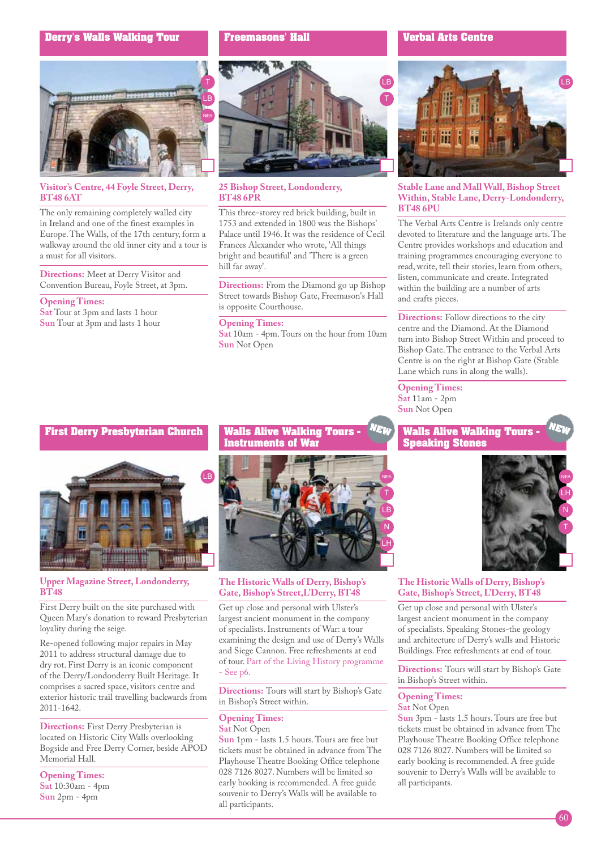#### **Derry's Walls Walking Tour**



#### **Visitor's Centre, 44 Foyle Street, Derry, BT48 6AT**

The only remaining completely walled city in Ireland and one of the finest examples in Europe. The Walls, of the 17th century, form a walkway around the old inner city and a tour is a must for all visitors.

**Directions:** Meet at Derry Visitor and Convention Bureau, Foyle Street, at 3pm.

#### **Opening Times:**

**Sat** Tour at 3pm and lasts 1 hour **Sun** Tour at 3pm and lasts 1 hour

#### **Freemasons' Hall**



#### **25 Bishop Street, Londonderry, BT48 6PR**

This three-storey red brick building, built in 1753 and extended in 1800 was the Bishops' Palace until 1946. It was the residence of Cecil Frances Alexander who wrote, 'All things bright and beautiful' and 'There is a green hill far away'.

**Directions:** From the Diamond go up Bishop Street towards Bishop Gate, Freemason's Hall is opposite Courthouse.

#### **Opening Times:**

**Sat** 10am - 4pm. Tours on the hour from 10am **Sun** Not Open

#### **Verbal Arts Centre**



#### **Stable Lane and Mall Wall, Bishop Street Within, Stable Lane, Derry-Londonderry, BT48 6PU**

The Verbal Arts Centre is Irelands only centre devoted to literature and the language arts. The Centre provides workshops and education and training programmes encouraging everyone to read, write, tell their stories, learn from others, listen, communicate and create. Integrated within the building are a number of arts and crafts pieces.

**Directions:** Follow directions to the city centre and the Diamond. At the Diamond turn into Bishop Street Within and proceed to Bishop Gate. The entrance to the Verbal Arts Centre is on the right at Bishop Gate (Stable Lane which runs in along the walls).

**Opening Times: Sat** 11am - 2pm **Sun** Not Open

**NEW** 

#### **First Derry Presbyterian Church**



#### **Upper Magazine Street, Londonderry, BT48**

First Derry built on the site purchased with Queen Mary's donation to reward Presbyterian loyality during the seige.

Re-opened following major repairs in May 2011 to address structural damage due to dry rot. First Derry is an iconic component of the Derry/Londonderry Built Heritage. It comprises a sacred space, visitors centre and exterior historic trail travelling backwards from 2011-1642.

**Directions:** First Derry Presbyterian is located on Historic City Walls overlooking Bogside and Free Derry Corner, beside APOD Memorial Hall.

**Opening Times: Sat** 10:30am - 4pm **Sun** 2pm - 4pm

#### **Walls Alive Walking Tours - Instruments of War**



#### **The Historic Walls of Derry, Bishop's Gate, Bishop's Street,L'Derry, BT48**

Get up close and personal with Ulster's largest ancient monument in the company of specialists. Instruments of War: a tour examining the design and use of Derry's Walls and Siege Cannon. Free refreshments at end of tour. Part of the Living History programme - See p6.

**Directions:** Tours will start by Bishop's Gate in Bishop's Street within.

#### **Opening Times:**

#### **Sat** Not Open

**Sun** 1pm - lasts 1.5 hours. Tours are free but tickets must be obtained in advance from The Playhouse Theatre Booking Office telephone 028 7126 8027. Numbers will be limited so early booking is recommended. A free guide souvenir to Derry's Walls will be available to all participants.

#### **Walls Alive Walking Tours - Speaking Stones**



#### **The Historic Walls of Derry, Bishop's Gate, Bishop's Street, L'Derry, BT48**

Get up close and personal with Ulster's largest ancient monument in the company of specialists. Speaking Stones-the geology and architecture of Derry's walls and Historic Buildings. Free refreshments at end of tour.

**Directions:** Tours will start by Bishop's Gate in Bishop's Street within.

#### **Opening Times: Sat** Not Open

**Sun** 3pm - lasts 1.5 hours. Tours are free but tickets must be obtained in advance from The Playhouse Theatre Booking Office telephone 028 7126 8027. Numbers will be limited so early booking is recommended. A free guide souvenir to Derry's Walls will be available to all participants.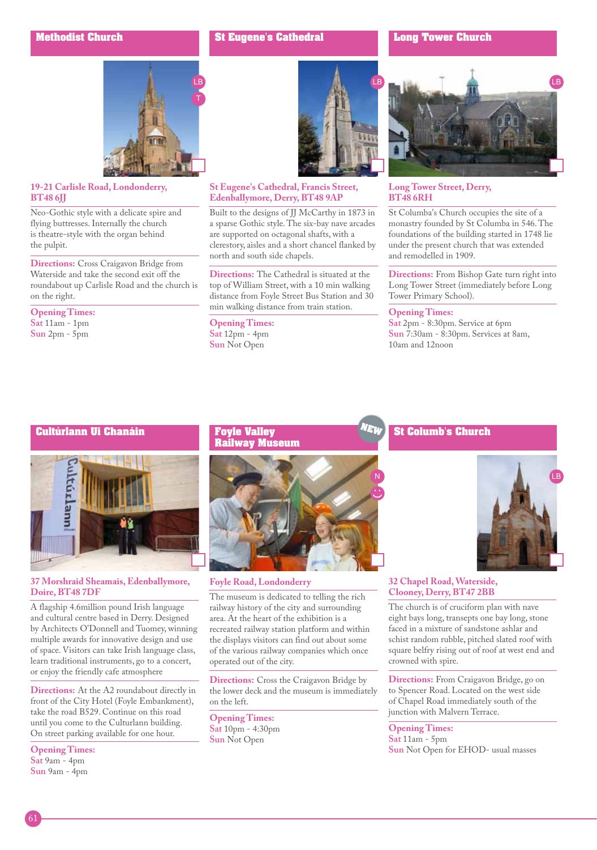#### **St Eugene's Cathedral**

#### **Long Tower Church**



#### **19-21 Carlisle Road, Londonderry, BT48 6JJ**

Neo-Gothic style with a delicate spire and flying buttresses. Internally the church is theatre-style with the organ behind the pulpit.

**Directions:** Cross Craigavon Bridge from Waterside and take the second exit off the roundabout up Carlisle Road and the church is on the right.

**Opening Times:** 

**Sat** 11am - 1pm **Sun** 2pm - 5pm



#### **St Eugene's Cathedral, Francis Street, Edenballymore, Derry, BT48 9AP**

Built to the designs of JJ McCarthy in 1873 in a sparse Gothic style. The six-bay nave arcades are supported on octagonal shafts, with a clerestory, aisles and a short chancel flanked by north and south side chapels.

**Directions:** The Cathedral is situated at the top of William Street, with a 10 min walking distance from Foyle Street Bus Station and 30 min walking distance from train station.

**Opening Times: Sat** 12pm - 4pm **Sun** Not Open



#### **Long Tower Street, Derry, BT48 6RH**

St Columba's Church occupies the site of a monastry founded by St Columba in 546. The foundations of the building started in 1748 lie under the present church that was extended and remodelled in 1909.

**Directions:** From Bishop Gate turn right into Long Tower Street (immediately before Long Tower Primary School).

#### **Opening Times:**

**Sat** 2pm - 8:30pm. Service at 6pm **Sun** 7:30am - 8:30pm. Services at 8am, 10am and 12noon

#### **Cultúrlann Ui Chanáin**



#### **37 Morshraid Sheamais, Edenballymore, Doire, BT48 7DF**

A flagship 4.6million pound Irish language and cultural centre based in Derry. Designed by Architects O'Donnell and Tuomey, winning multiple awards for innovative design and use of space. Visitors can take Irish language class, learn traditional instruments, go to a concert, or enjoy the friendly cafe atmosphere

**Directions:** At the A2 roundabout directly in front of the City Hotel (Foyle Embankment), take the road B529. Continue on this road until you come to the Culturlann building. On street parking available for one hour.

**Opening Times: Sat** 9am - 4pm **Sun** 9am - 4pm

#### **Foyle Valley Railway Museum**



**Foyle Road, Londonderry**

The museum is dedicated to telling the rich railway history of the city and surrounding area. At the heart of the exhibition is a recreated railway station platform and within the displays visitors can find out about some of the various railway companies which once operated out of the city.

**Directions:** Cross the Craigavon Bridge by the lower deck and the museum is immediately on the left.

**Opening Times: Sat** 10pm - 4:30pm **Sun** Not Open

#### **St Columb's Church**



#### **32 Chapel Road, Waterside, Clooney, Derry, BT47 2BB**

The church is of cruciform plan with nave eight bays long, transepts one bay long, stone faced in a mixture of sandstone ashlar and schist random rubble, pitched slated roof with square belfry rising out of roof at west end and crowned with spire.

**Directions:** From Craigavon Bridge, go on to Spencer Road. Located on the west side of Chapel Road immediately south of the junction with Malvern Terrace.

**Opening Times: Sat** 11am - 5pm **Sun** Not Open for EHOD- usual masses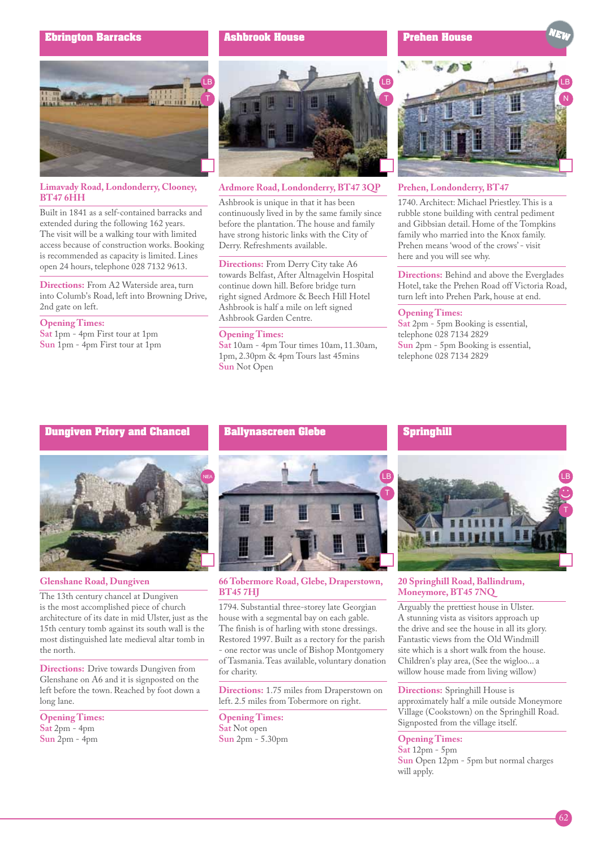#### **Ebrington Barracks**

**Ashbrook House**





#### **Limavady Road, Londonderry, Clooney, BT47 6HH**

Built in 1841 as a self-contained barracks and extended during the following 162 years. The visit will be a walking tour with limited access because of construction works. Booking is recommended as capacity is limited. Lines open 24 hours, telephone 028 7132 9613.

**Directions:** From A2 Waterside area, turn into Columb's Road, left into Browning Drive, 2nd gate on left.

#### **Opening Times:**

**Sat** 1pm - 4pm First tour at 1pm **Sun** 1pm - 4pm First tour at 1pm



#### **Ardmore Road, Londonderry, BT47 3QP**

Ashbrook is unique in that it has been continuously lived in by the same family since before the plantation. The house and family have strong historic links with the City of Derry. Refreshments available.

**Directions:** From Derry City take A6 towards Belfast, After Altnagelvin Hospital continue down hill. Before bridge turn right signed Ardmore & Beech Hill Hotel Ashbrook is half a mile on left signed Ashbrook Garden Centre.

#### **Opening Times:**

**Sat** 10am - 4pm Tour times 10am, 11.30am, 1pm, 2.30pm & 4pm Tours last 45mins **Sun** Not Open



#### **Prehen, Londonderry, BT47**

1740. Architect: Michael Priestley. This is a rubble stone building with central pediment and Gibbsian detail. Home of the Tompkins family who married into the Knox family. Prehen means 'wood of the crows' - visit here and you will see why.

**Directions:** Behind and above the Everglades Hotel, take the Prehen Road off Victoria Road, turn left into Prehen Park, house at end.

#### **Opening Times:**

**Sat** 2pm - 5pm Booking is essential, telephone 028 7134 2829 **Sun** 2pm - 5pm Booking is essential, telephone 028 7134 2829

#### **Dungiven Priory and Chancel**



#### **Glenshane Road, Dungiven**

The 13th century chancel at Dungiven is the most accomplished piece of church architecture of its date in mid Ulster, just as the 15th century tomb against its south wall is the most distinguished late medieval altar tomb in the north.

**Directions:** Drive towards Dungiven from Glenshane on A6 and it is signposted on the left before the town. Reached by foot down a long lane.

**Opening Times: Sat** 2pm - 4pm **Sun** 2pm - 4pm

#### **Ballynascreen Glebe**



#### **66 Tobermore Road, Glebe, Draperstown, BT45 7HJ**

1794. Substantial three-storey late Georgian house with a segmental bay on each gable. The finish is of harling with stone dressings. Restored 1997. Built as a rectory for the parish - one rector was uncle of Bishop Montgomery of Tasmania. Teas available, voluntary donation for charity.

**Directions:** 1.75 miles from Draperstown on left. 2.5 miles from Tobermore on right.

**Opening Times: Sat** Not open **Sun** 2pm - 5.30pm

#### **Springhill**



#### **20 Springhill Road, Ballindrum, Moneymore, BT45 7NQ**

Arguably the prettiest house in Ulster. A stunning vista as visitors approach up the drive and see the house in all its glory. Fantastic views from the Old Windmill site which is a short walk from the house. Children's play area, (See the wigloo... a willow house made from living willow)

**Directions:** Springhill House is approximately half a mile outside Moneymore Village (Cookstown) on the Springhill Road. Signposted from the village itself.

#### **Opening Times:**

**Sat** 12pm - 5pm **Sun** Open 12pm - 5pm but normal charges will apply.

62